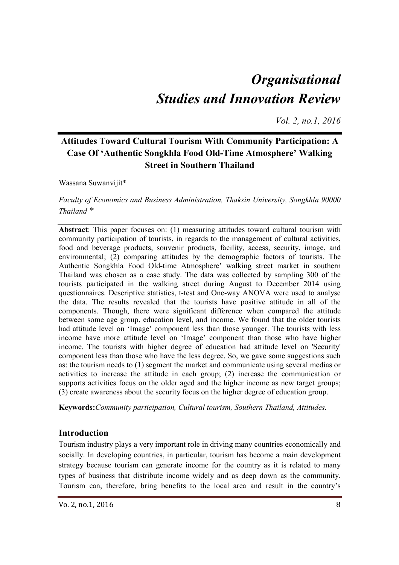# *Organisational Studies and Innovation Review*

*Vol. 2, no.1, 2016*

## **Attitudes Toward Cultural Tourism With Community Participation: A Case Of 'Authentic Songkhla Food Old-Time Atmosphere' Walking Street in Southern Thailand**

Wassana Suwanvijit\*

*Faculty of Economics and Business Administration, Thaksin University, Songkhla 90000 Thailand \** 

**Abstract**: This paper focuses on: (1) measuring attitudes toward cultural tourism with community participation of tourists, in regards to the management of cultural activities, food and beverage products, souvenir products, facility, access, security, image, and environmental; (2) comparing attitudes by the demographic factors of tourists. The Authentic Songkhla Food Old-time Atmosphere' walking street market in southern Thailand was chosen as a case study. The data was collected by sampling 300 of the tourists participated in the walking street during August to December 2014 using questionnaires. Descriptive statistics, t-test and One-way ANOVA were used to analyse the data. The results revealed that the tourists have positive attitude in all of the components. Though, there were significant difference when compared the attitude between some age group, education level, and income. We found that the older tourists had attitude level on 'Image' component less than those younger. The tourists with less income have more attitude level on 'Image' component than those who have higher income. The tourists with higher degree of education had attitude level on 'Security' component less than those who have the less degree. So, we gave some suggestions such as: the tourism needs to (1) segment the market and communicate using several medias or activities to increase the attitude in each group; (2) increase the communication or supports activities focus on the older aged and the higher income as new target groups; (3) create awareness about the security focus on the higher degree of education group.

**Keywords:***Community participation, Cultural tourism, Southern Thailand, Attitudes.* 

#### **Introduction**

Tourism industry plays a very important role in driving many countries economically and socially. In developing countries, in particular, tourism has become a main development strategy because tourism can generate income for the country as it is related to many types of business that distribute income widely and as deep down as the community. Tourism can, therefore, bring benefits to the local area and result in the country's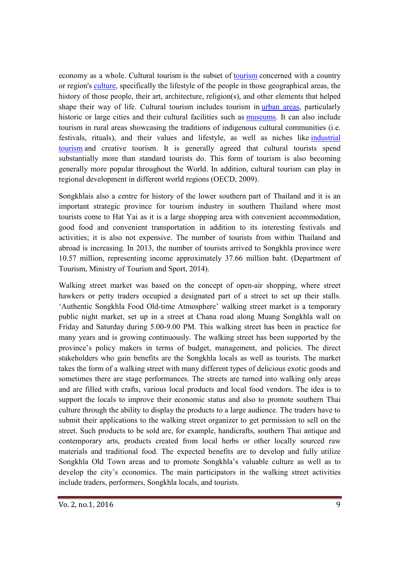economy as a whole. Cultural tourism is the subset of tourism concerned with a country or region's culture, specifically the lifestyle of the people in those geographical areas, the history of those people, their art, architecture, religion(s), and other elements that helped shape their way of life. Cultural tourism includes tourism in urban areas, particularly historic or large cities and their cultural facilities such as museums. It can also include tourism in rural areas showcasing the traditions of indigenous cultural communities (i.e. festivals, rituals), and their values and lifestyle, as well as niches like industrial tourism and creative tourism. It is generally agreed that cultural tourists spend substantially more than standard tourists do. This form of tourism is also becoming generally more popular throughout the World. In addition, cultural tourism can play in regional development in different world regions (OECD, 2009).

Songkhlais also a centre for history of the lower southern part of Thailand and it is an important strategic province for tourism industry in southern Thailand where most tourists come to Hat Yai as it is a large shopping area with convenient accommodation, good food and convenient transportation in addition to its interesting festivals and activities; it is also not expensive. The number of tourists from within Thailand and abroad is increasing. In 2013, the number of tourists arrived to Songkhla province were 10.57 million, representing income approximately 37.66 million baht. (Department of Tourism, Ministry of Tourism and Sport, 2014).

Walking street market was based on the concept of open-air shopping, where street hawkers or petty traders occupied a designated part of a street to set up their stalls. 'Authentic Songkhla Food Old-time Atmosphere' walking street market is a temporary public night market, set up in a street at Chana road along Muang Songkhla wall on Friday and Saturday during 5.00-9.00 PM. This walking street has been in practice for many years and is growing continuously. The walking street has been supported by the province's policy makers in terms of budget, management, and policies. The direct stakeholders who gain benefits are the Songkhla locals as well as tourists. The market takes the form of a walking street with many different types of delicious exotic goods and sometimes there are stage performances. The streets are turned into walking only areas and are filled with crafts, various local products and local food vendors. The idea is to support the locals to improve their economic status and also to promote southern Thai culture through the ability to display the products to a large audience. The traders have to submit their applications to the walking street organizer to get permission to sell on the street. Such products to be sold are, for example, handicrafts, southern Thai antique and contemporary arts, products created from local herbs or other locally sourced raw materials and traditional food. The expected benefits are to develop and fully utilize Songkhla Old Town areas and to promote Songkhla's valuable culture as well as to develop the city's economics. The main participators in the walking street activities include traders, performers, Songkhla locals, and tourists.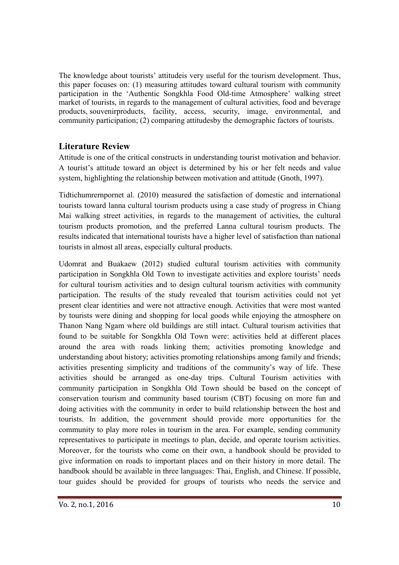The knowledge about tourists' attitudeis very useful for the tourism development. Thus, this paper focuses on: (1) measuring attitudes toward cultural tourism with community participation in the 'Authentic Songkhla Food Old-time Atmosphere' walking street market of tourists, in regards to the management of cultural activities, food and beverage products, souvenirproducts, facility, access, security, image, environmental, and community participation; (2) comparing attitudesby the demographic factors of tourists.

#### **Literature Review**

Attitude is one of the critical constructs in understanding tourist motivation and behavior. A tourist's attitude toward an object is determined by his or her felt needs and value system, highlighting the relationship between motivation and attitude (Gnoth, 1997).

Tidtichumrernpornet al. (2010) measured the satisfaction of domestic and international tourists toward lanna cultural tourism products using a case study of progress in Chiang Mai walking street activities, in regards to the management of activities, the cultural tourism products promotion, and the preferred Lanna cultural tourism products. The results indicated that international tourists have a higher level of satisfaction than national tourists in almost all areas, especially cultural products.

Udomrat and Buakaew (2012) studied cultural tourism activities with community participation in Songkhla Old Town to investigate activities and explore tourists' needs for cultural tourism activities and to design cultural tourism activities with community participation. The results of the study revealed that tourism activities could not yet present clear identities and were not attractive enough. Activities that were most wanted by tourists were dining and shopping for local goods while enjoying the atmosphere on Thanon Nang Ngam where old buildings are still intact. Cultural tourism activities that found to be suitable for Songkhla Old Town were: activities held at different places around the area with roads linking them; activities promoting knowledge and understanding about history; activities promoting relationships among family and friends; activities presenting simplicity and traditions of the community's way of life. These activities should be arranged as one-day trips. Cultural Tourism activities with community participation in Songkhla Old Town should be based on the concept of conservation tourism and community based tourism (CBT) focusing on more fun and doing activities with the community in order to build relationship between the host and tourists. In addition, the government should provide more opportunities for the community to play more roles in tourism in the area. For example, sending community representatives to participate in meetings to plan, decide, and operate tourism activities. Moreover, for the tourists who come on their own, a handbook should be provided to give information on roads to important places and on their history in more detail. The handbook should be available in three languages: Thai, English, and Chinese. If possible, tour guides should be provided for groups of tourists who needs the service and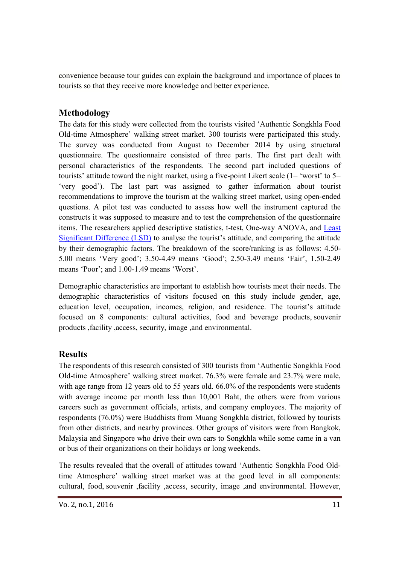convenience because tour guides can explain the background and importance of places to tourists so that they receive more knowledge and better experience.

## **Methodology**

The data for this study were collected from the tourists visited 'Authentic Songkhla Food Old-time Atmosphere' walking street market. 300 tourists were participated this study. The survey was conducted from August to December 2014 by using structural questionnaire. The questionnaire consisted of three parts. The first part dealt with personal characteristics of the respondents. The second part included questions of tourists' attitude toward the night market, using a five-point Likert scale ( $1=$  'worst' to  $5=$ 'very good'). The last part was assigned to gather information about tourist recommendations to improve the tourism at the walking street market, using open-ended questions. A pilot test was conducted to assess how well the instrument captured the constructs it was supposed to measure and to test the comprehension of the questionnaire items. The researchers applied descriptive statistics, t-test, One-way ANOVA, and Least Significant Difference (LSD) to analyse the tourist's attitude, and comparing the attitude by their demographic factors. The breakdown of the score/ranking is as follows: 4.50- 5.00 means 'Very good'; 3.50-4.49 means 'Good'; 2.50-3.49 means 'Fair', 1.50-2.49 means 'Poor'; and 1.00-1.49 means 'Worst'.

Demographic characteristics are important to establish how tourists meet their needs. The demographic characteristics of visitors focused on this study include gender, age, education level, occupation, incomes, religion, and residence. The tourist's attitude focused on 8 components: cultural activities, food and beverage products, souvenir products ,facility ,access, security, image ,and environmental.

### **Results**

The respondents of this research consisted of 300 tourists from 'Authentic Songkhla Food Old-time Atmosphere' walking street market. 76.3% were female and 23.7% were male, with age range from 12 years old to 55 years old. 66.0% of the respondents were students with average income per month less than 10,001 Baht, the others were from various careers such as government officials, artists, and company employees. The majority of respondents (76.0%) were Buddhists from Muang Songkhla district, followed by tourists from other districts, and nearby provinces. Other groups of visitors were from Bangkok, Malaysia and Singapore who drive their own cars to Songkhla while some came in a van or bus of their organizations on their holidays or long weekends.

The results revealed that the overall of attitudes toward 'Authentic Songkhla Food Oldtime Atmosphere' walking street market was at the good level in all components: cultural, food, souvenir ,facility ,access, security, image ,and environmental. However,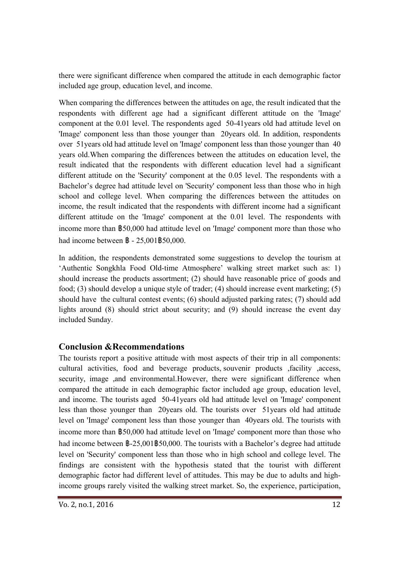there were significant difference when compared the attitude in each demographic factor included age group, education level, and income.

When comparing the differences between the attitudes on age, the result indicated that the respondents with different age had a significant different attitude on the 'Image' component at the  $0.01$  level. The respondents aged  $50-41$  years old had attitude level on 'Image' component less than those younger than 20 years old. In addition, respondents over 51 years old had attitude level on 'Image' component less than those younger than 40 years old.When comparing the differences between the attitudes on education level, the result indicated that the respondents with different education level had a significant different attitude on the 'Security' component at the 0.05 level. The respondents with a Bachelor's degree had attitude level on 'Security' component less than those who in high school and college level. When comparing the differences between the attitudes on income, the result indicated that the respondents with different income had a significant different attitude on the 'Image' component at the 0.01 level. The respondents with income more than ฿50,000 had attitude level on 'Image' component more than those who had income between ฿ - 25,001฿50,000.

In addition, the respondents demonstrated some suggestions to develop the tourism at 'Authentic Songkhla Food Old-time Atmosphere' walking street market such as: 1) should increase the products assortment; (2) should have reasonable price of goods and food; (3) should develop a unique style of trader; (4) should increase event marketing; (5) should have the cultural contest events; (6) should adjusted parking rates; (7) should add lights around (8) should strict about security; and (9) should increase the event day included Sunday.

### **Conclusion &Recommendations**

The tourists report a positive attitude with most aspects of their trip in all components: cultural activities, food and beverage products, souvenir products ,facility ,access, security, image ,and environmental.However, there were significant difference when compared the attitude in each demographic factor included age group, education level, and income. The tourists aged 50-41 years old had attitude level on 'Image' component less than those younger than 20 years old. The tourists over 51 years old had attitude level on 'Image' component less than those younger than 40 years old. The tourists with income more than ฿50,000 had attitude level on 'Image' component more than those who had income between  $\frac{25,001\,350,000}$ . The tourists with a Bachelor's degree had attitude level on 'Security' component less than those who in high school and college level. The findings are consistent with the hypothesis stated that the tourist with different demographic factor had different level of attitudes. This may be due to adults and highincome groups rarely visited the walking street market. So, the experience, participation,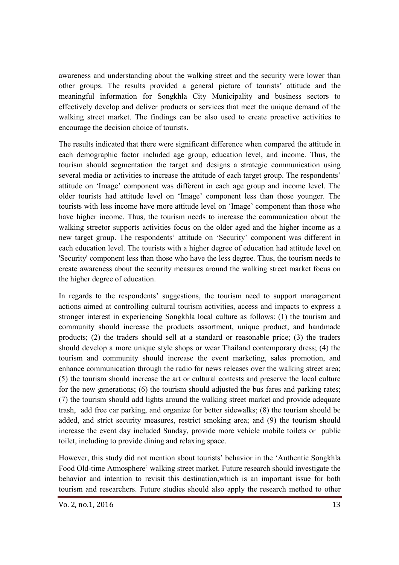awareness and understanding about the walking street and the security were lower than other groups. The results provided a general picture of tourists' attitude and the meaningful information for Songkhla City Municipality and business sectors to effectively develop and deliver products or services that meet the unique demand of the walking street market. The findings can be also used to create proactive activities to encourage the decision choice of tourists.

The results indicated that there were significant difference when compared the attitude in each demographic factor included age group, education level, and income. Thus, the tourism should segmentation the target and designs a strategic communication using several media or activities to increase the attitude of each target group. The respondents' attitude on 'Image' component was different in each age group and income level. The older tourists had attitude level on 'Image' component less than those younger. The tourists with less income have more attitude level on 'Image' component than those who have higher income. Thus, the tourism needs to increase the communication about the walking streetor supports activities focus on the older aged and the higher income as a new target group. The respondents' attitude on 'Security' component was different in each education level. The tourists with a higher degree of education had attitude level on 'Security' component less than those who have the less degree. Thus, the tourism needs to create awareness about the security measures around the walking street market focus on the higher degree of education.

In regards to the respondents' suggestions, the tourism need to support management actions aimed at controlling cultural tourism activities, access and impacts to express a stronger interest in experiencing Songkhla local culture as follows: (1) the tourism and community should increase the products assortment, unique product, and handmade products; (2) the traders should sell at a standard or reasonable price; (3) the traders should develop a more unique style shops or wear Thailand contemporary dress; (4) the tourism and community should increase the event marketing, sales promotion, and enhance communication through the radio for news releases over the walking street area; (5) the tourism should increase the art or cultural contests and preserve the local culture for the new generations; (6) the tourism should adjusted the bus fares and parking rates; (7) the tourism should add lights around the walking street market and provide adequate trash, add free car parking, and organize for better sidewalks; (8) the tourism should be added, and strict security measures, restrict smoking area; and (9) the tourism should increase the event day included Sunday, provide more vehicle mobile toilets or public toilet, including to provide dining and relaxing space.

However, this study did not mention about tourists' behavior in the 'Authentic Songkhla Food Old-time Atmosphere' walking street market. Future research should investigate the behavior and intention to revisit this destination,which is an important issue for both tourism and researchers. Future studies should also apply the research method to other